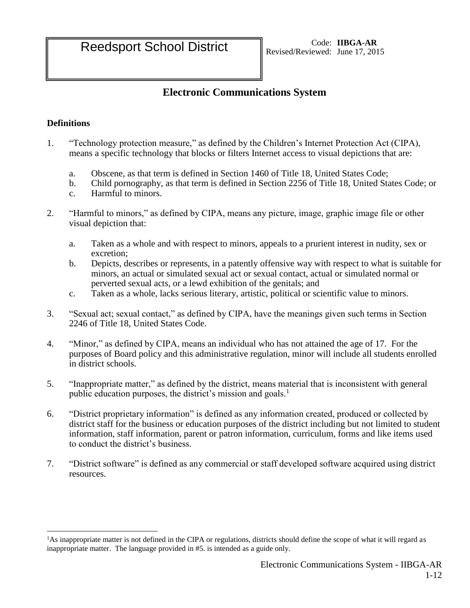# **Electronic Communications System**

# **Definitions**

 $\overline{a}$ 

- 1. "Technology protection measure," as defined by the Children's Internet Protection Act (CIPA), means a specific technology that blocks or filters Internet access to visual depictions that are:
	- a. Obscene, as that term is defined in Section 1460 of Title 18, United States Code;
	- b. Child pornography, as that term is defined in Section 2256 of Title 18, United States Code; or
	- c. Harmful to minors.
- 2. "Harmful to minors," as defined by CIPA, means any picture, image, graphic image file or other visual depiction that:
	- a. Taken as a whole and with respect to minors, appeals to a prurient interest in nudity, sex or excretion;
	- b. Depicts, describes or represents, in a patently offensive way with respect to what is suitable for minors, an actual or simulated sexual act or sexual contact, actual or simulated normal or perverted sexual acts, or a lewd exhibition of the genitals; and
	- c. Taken as a whole, lacks serious literary, artistic, political or scientific value to minors.
- 3. "Sexual act; sexual contact," as defined by CIPA, have the meanings given such terms in Section 2246 of Title 18, United States Code.
- 4. "Minor," as defined by CIPA, means an individual who has not attained the age of 17. For the purposes of Board policy and this administrative regulation, minor will include all students enrolled in district schools.
- 5. "Inappropriate matter," as defined by the district, means material that is inconsistent with general public education purposes, the district's mission and goals.<sup>1</sup>
- 6. "District proprietary information" is defined as any information created, produced or collected by district staff for the business or education purposes of the district including but not limited to student information, staff information, parent or patron information, curriculum, forms and like items used to conduct the district's business.
- 7. "District software" is defined as any commercial or staff developed software acquired using district resources.

<sup>1</sup>As inappropriate matter is not defined in the CIPA or regulations, districts should define the scope of what it will regard as inappropriate matter. The language provided in #5. is intended as a guide only.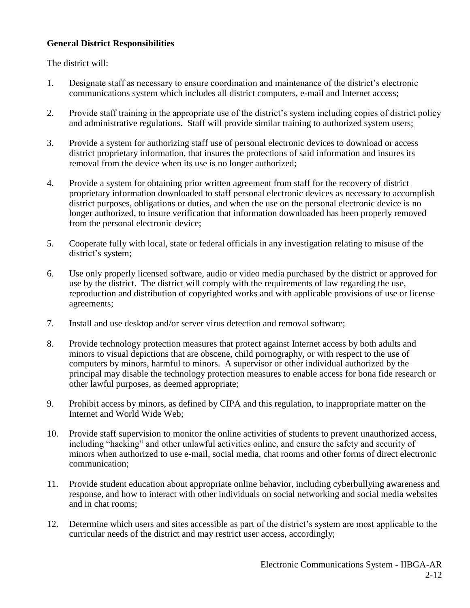## **General District Responsibilities**

The district will:

- 1. Designate staff as necessary to ensure coordination and maintenance of the district's electronic communications system which includes all district computers, e-mail and Internet access;
- 2. Provide staff training in the appropriate use of the district's system including copies of district policy and administrative regulations. Staff will provide similar training to authorized system users;
- 3. Provide a system for authorizing staff use of personal electronic devices to download or access district proprietary information, that insures the protections of said information and insures its removal from the device when its use is no longer authorized;
- 4. Provide a system for obtaining prior written agreement from staff for the recovery of district proprietary information downloaded to staff personal electronic devices as necessary to accomplish district purposes, obligations or duties, and when the use on the personal electronic device is no longer authorized, to insure verification that information downloaded has been properly removed from the personal electronic device;
- 5. Cooperate fully with local, state or federal officials in any investigation relating to misuse of the district's system;
- 6. Use only properly licensed software, audio or video media purchased by the district or approved for use by the district. The district will comply with the requirements of law regarding the use, reproduction and distribution of copyrighted works and with applicable provisions of use or license agreements;
- 7. Install and use desktop and/or server virus detection and removal software;
- 8. Provide technology protection measures that protect against Internet access by both adults and minors to visual depictions that are obscene, child pornography, or with respect to the use of computers by minors, harmful to minors. A supervisor or other individual authorized by the principal may disable the technology protection measures to enable access for bona fide research or other lawful purposes, as deemed appropriate;
- 9. Prohibit access by minors, as defined by CIPA and this regulation, to inappropriate matter on the Internet and World Wide Web;
- 10. Provide staff supervision to monitor the online activities of students to prevent unauthorized access, including "hacking" and other unlawful activities online, and ensure the safety and security of minors when authorized to use e-mail, social media, chat rooms and other forms of direct electronic communication;
- 11. Provide student education about appropriate online behavior, including cyberbullying awareness and response, and how to interact with other individuals on social networking and social media websites and in chat rooms;
- 12. Determine which users and sites accessible as part of the district's system are most applicable to the curricular needs of the district and may restrict user access, accordingly;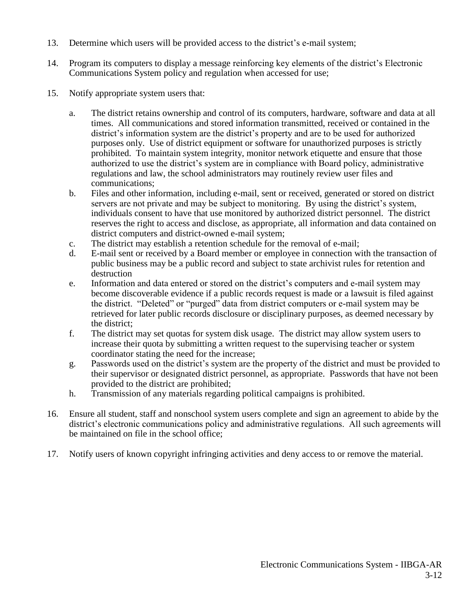- 13. Determine which users will be provided access to the district's e-mail system;
- 14. Program its computers to display a message reinforcing key elements of the district's Electronic Communications System policy and regulation when accessed for use;
- 15. Notify appropriate system users that:
	- a. The district retains ownership and control of its computers, hardware, software and data at all times. All communications and stored information transmitted, received or contained in the district's information system are the district's property and are to be used for authorized purposes only. Use of district equipment or software for unauthorized purposes is strictly prohibited. To maintain system integrity, monitor network etiquette and ensure that those authorized to use the district's system are in compliance with Board policy, administrative regulations and law, the school administrators may routinely review user files and communications;
	- b. Files and other information, including e-mail, sent or received, generated or stored on district servers are not private and may be subject to monitoring. By using the district's system, individuals consent to have that use monitored by authorized district personnel. The district reserves the right to access and disclose, as appropriate, all information and data contained on district computers and district-owned e-mail system;
	- c. The district may establish a retention schedule for the removal of e-mail;
	- d. E-mail sent or received by a Board member or employee in connection with the transaction of public business may be a public record and subject to state archivist rules for retention and destruction
	- e. Information and data entered or stored on the district's computers and e-mail system may become discoverable evidence if a public records request is made or a lawsuit is filed against the district. "Deleted" or "purged" data from district computers or e-mail system may be retrieved for later public records disclosure or disciplinary purposes, as deemed necessary by the district;
	- f. The district may set quotas for system disk usage. The district may allow system users to increase their quota by submitting a written request to the supervising teacher or system coordinator stating the need for the increase;
	- g. Passwords used on the district's system are the property of the district and must be provided to their supervisor or designated district personnel, as appropriate. Passwords that have not been provided to the district are prohibited;
	- h. Transmission of any materials regarding political campaigns is prohibited.
- 16. Ensure all student, staff and nonschool system users complete and sign an agreement to abide by the district's electronic communications policy and administrative regulations. All such agreements will be maintained on file in the school office;
- 17. Notify users of known copyright infringing activities and deny access to or remove the material.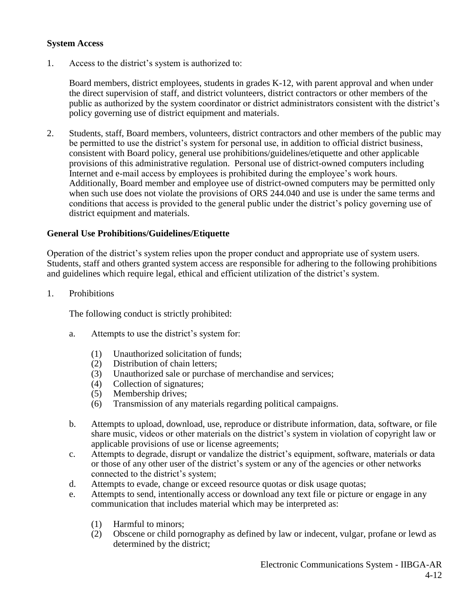#### **System Access**

1. Access to the district's system is authorized to:

Board members, district employees, students in grades K-12, with parent approval and when under the direct supervision of staff, and district volunteers, district contractors or other members of the public as authorized by the system coordinator or district administrators consistent with the district's policy governing use of district equipment and materials.

2. Students, staff, Board members, volunteers, district contractors and other members of the public may be permitted to use the district's system for personal use, in addition to official district business, consistent with Board policy, general use prohibitions/guidelines/etiquette and other applicable provisions of this administrative regulation. Personal use of district-owned computers including Internet and e-mail access by employees is prohibited during the employee's work hours. Additionally, Board member and employee use of district-owned computers may be permitted only when such use does not violate the provisions of ORS 244.040 and use is under the same terms and conditions that access is provided to the general public under the district's policy governing use of district equipment and materials.

## **General Use Prohibitions/Guidelines/Etiquette**

Operation of the district's system relies upon the proper conduct and appropriate use of system users. Students, staff and others granted system access are responsible for adhering to the following prohibitions and guidelines which require legal, ethical and efficient utilization of the district's system.

1. Prohibitions

The following conduct is strictly prohibited:

- a. Attempts to use the district's system for:
	- (1) Unauthorized solicitation of funds;
	- (2) Distribution of chain letters;
	- (3) Unauthorized sale or purchase of merchandise and services;
	- (4) Collection of signatures;
	- (5) Membership drives;
	- (6) Transmission of any materials regarding political campaigns.
- b. Attempts to upload, download, use, reproduce or distribute information, data, software, or file share music, videos or other materials on the district's system in violation of copyright law or applicable provisions of use or license agreements;
- c. Attempts to degrade, disrupt or vandalize the district's equipment, software, materials or data or those of any other user of the district's system or any of the agencies or other networks connected to the district's system;
- d. Attempts to evade, change or exceed resource quotas or disk usage quotas;
- e. Attempts to send, intentionally access or download any text file or picture or engage in any communication that includes material which may be interpreted as:
	- (1) Harmful to minors;
	- (2) Obscene or child pornography as defined by law or indecent, vulgar, profane or lewd as determined by the district;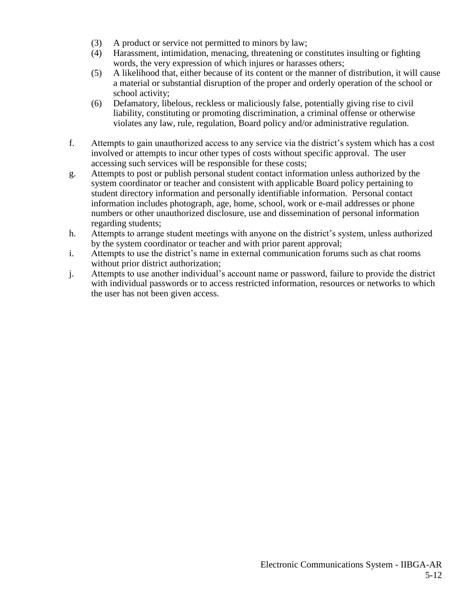- (3) A product or service not permitted to minors by law;
- (4) Harassment, intimidation, menacing, threatening or constitutes insulting or fighting words, the very expression of which injures or harasses others;
- (5) A likelihood that, either because of its content or the manner of distribution, it will cause a material or substantial disruption of the proper and orderly operation of the school or school activity;
- (6) Defamatory, libelous, reckless or maliciously false, potentially giving rise to civil liability, constituting or promoting discrimination, a criminal offense or otherwise violates any law, rule, regulation, Board policy and/or administrative regulation.
- f. Attempts to gain unauthorized access to any service via the district's system which has a cost involved or attempts to incur other types of costs without specific approval. The user accessing such services will be responsible for these costs;
- g. Attempts to post or publish personal student contact information unless authorized by the system coordinator or teacher and consistent with applicable Board policy pertaining to student directory information and personally identifiable information. Personal contact information includes photograph, age, home, school, work or e-mail addresses or phone numbers or other unauthorized disclosure, use and dissemination of personal information regarding students;
- h. Attempts to arrange student meetings with anyone on the district's system, unless authorized by the system coordinator or teacher and with prior parent approval;
- i. Attempts to use the district's name in external communication forums such as chat rooms without prior district authorization;
- j. Attempts to use another individual's account name or password, failure to provide the district with individual passwords or to access restricted information, resources or networks to which the user has not been given access.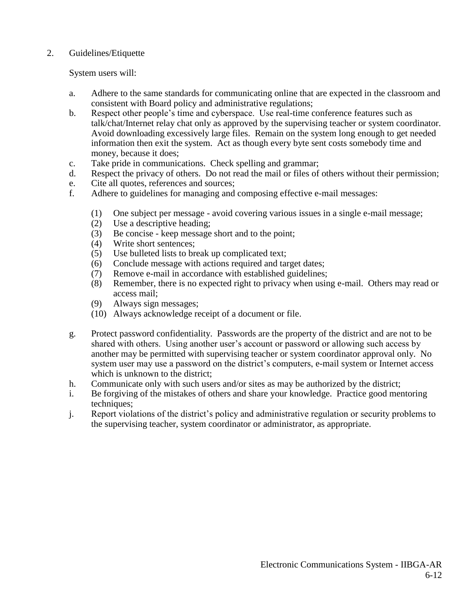### 2. Guidelines/Etiquette

System users will:

- a. Adhere to the same standards for communicating online that are expected in the classroom and consistent with Board policy and administrative regulations;
- b. Respect other people's time and cyberspace. Use real-time conference features such as talk/chat/Internet relay chat only as approved by the supervising teacher or system coordinator. Avoid downloading excessively large files. Remain on the system long enough to get needed information then exit the system. Act as though every byte sent costs somebody time and money, because it does;
- c. Take pride in communications. Check spelling and grammar;
- d. Respect the privacy of others. Do not read the mail or files of others without their permission;
- e. Cite all quotes, references and sources;
- f. Adhere to guidelines for managing and composing effective e-mail messages:
	- (1) One subject per message avoid covering various issues in a single e-mail message;
	- (2) Use a descriptive heading;
	- (3) Be concise keep message short and to the point;
	- (4) Write short sentences;
	- (5) Use bulleted lists to break up complicated text;
	- (6) Conclude message with actions required and target dates;
	- (7) Remove e-mail in accordance with established guidelines;
	- (8) Remember, there is no expected right to privacy when using e-mail. Others may read or access mail;
	- (9) Always sign messages;
	- (10) Always acknowledge receipt of a document or file.
- g. Protect password confidentiality. Passwords are the property of the district and are not to be shared with others. Using another user's account or password or allowing such access by another may be permitted with supervising teacher or system coordinator approval only. No system user may use a password on the district's computers, e-mail system or Internet access which is unknown to the district:
- h. Communicate only with such users and/or sites as may be authorized by the district;
- i. Be forgiving of the mistakes of others and share your knowledge. Practice good mentoring techniques;
- j. Report violations of the district's policy and administrative regulation or security problems to the supervising teacher, system coordinator or administrator, as appropriate.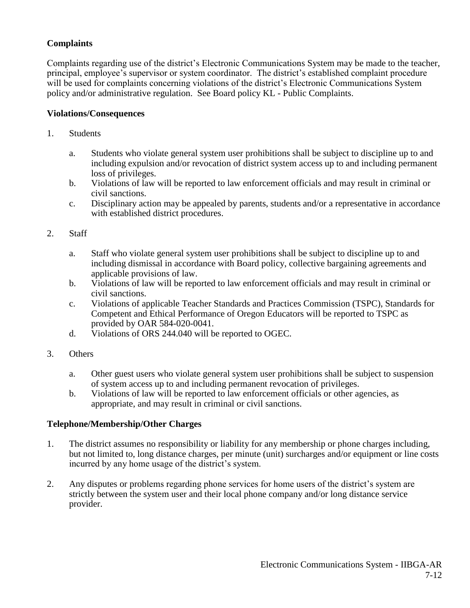# **Complaints**

Complaints regarding use of the district's Electronic Communications System may be made to the teacher, principal, employee's supervisor or system coordinator. The district's established complaint procedure will be used for complaints concerning violations of the district's Electronic Communications System policy and/or administrative regulation. See Board policy KL - Public Complaints.

#### **Violations/Consequences**

- 1. Students
	- a. Students who violate general system user prohibitions shall be subject to discipline up to and including expulsion and/or revocation of district system access up to and including permanent loss of privileges.
	- b. Violations of law will be reported to law enforcement officials and may result in criminal or civil sanctions.
	- c. Disciplinary action may be appealed by parents, students and/or a representative in accordance with established district procedures.
- 2. Staff
	- a. Staff who violate general system user prohibitions shall be subject to discipline up to and including dismissal in accordance with Board policy, collective bargaining agreements and applicable provisions of law.
	- b. Violations of law will be reported to law enforcement officials and may result in criminal or civil sanctions.
	- c. Violations of applicable Teacher Standards and Practices Commission (TSPC), Standards for Competent and Ethical Performance of Oregon Educators will be reported to TSPC as provided by OAR 584-020-0041.
	- d. Violations of ORS 244.040 will be reported to OGEC.
- 3. Others
	- a. Other guest users who violate general system user prohibitions shall be subject to suspension of system access up to and including permanent revocation of privileges.
	- b. Violations of law will be reported to law enforcement officials or other agencies, as appropriate, and may result in criminal or civil sanctions.

## **Telephone/Membership/Other Charges**

- 1. The district assumes no responsibility or liability for any membership or phone charges including, but not limited to, long distance charges, per minute (unit) surcharges and/or equipment or line costs incurred by any home usage of the district's system.
- 2. Any disputes or problems regarding phone services for home users of the district's system are strictly between the system user and their local phone company and/or long distance service provider.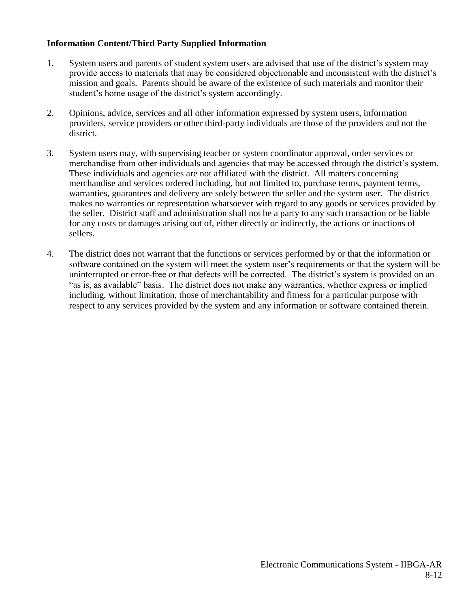## **Information Content/Third Party Supplied Information**

- 1. System users and parents of student system users are advised that use of the district's system may provide access to materials that may be considered objectionable and inconsistent with the district's mission and goals. Parents should be aware of the existence of such materials and monitor their student's home usage of the district's system accordingly.
- 2. Opinions, advice, services and all other information expressed by system users, information providers, service providers or other third-party individuals are those of the providers and not the district.
- 3. System users may, with supervising teacher or system coordinator approval, order services or merchandise from other individuals and agencies that may be accessed through the district's system. These individuals and agencies are not affiliated with the district. All matters concerning merchandise and services ordered including, but not limited to, purchase terms, payment terms, warranties, guarantees and delivery are solely between the seller and the system user. The district makes no warranties or representation whatsoever with regard to any goods or services provided by the seller. District staff and administration shall not be a party to any such transaction or be liable for any costs or damages arising out of, either directly or indirectly, the actions or inactions of sellers.
- 4. The district does not warrant that the functions or services performed by or that the information or software contained on the system will meet the system user's requirements or that the system will be uninterrupted or error-free or that defects will be corrected. The district's system is provided on an "as is, as available" basis. The district does not make any warranties, whether express or implied including, without limitation, those of merchantability and fitness for a particular purpose with respect to any services provided by the system and any information or software contained therein.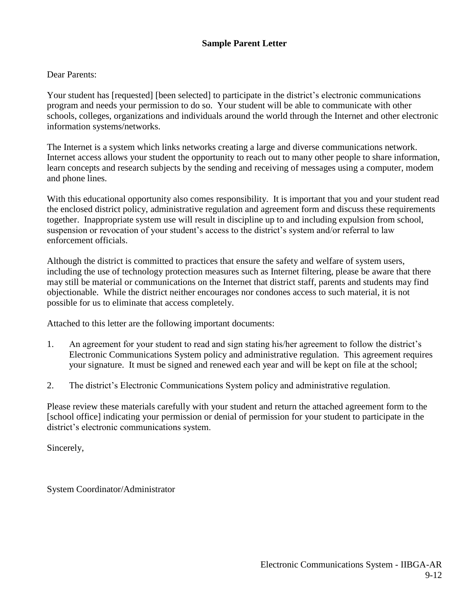# **Sample Parent Letter**

#### Dear Parents:

Your student has [requested] [been selected] to participate in the district's electronic communications program and needs your permission to do so. Your student will be able to communicate with other schools, colleges, organizations and individuals around the world through the Internet and other electronic information systems/networks.

The Internet is a system which links networks creating a large and diverse communications network. Internet access allows your student the opportunity to reach out to many other people to share information, learn concepts and research subjects by the sending and receiving of messages using a computer, modem and phone lines.

With this educational opportunity also comes responsibility. It is important that you and your student read the enclosed district policy, administrative regulation and agreement form and discuss these requirements together. Inappropriate system use will result in discipline up to and including expulsion from school, suspension or revocation of your student's access to the district's system and/or referral to law enforcement officials.

Although the district is committed to practices that ensure the safety and welfare of system users, including the use of technology protection measures such as Internet filtering, please be aware that there may still be material or communications on the Internet that district staff, parents and students may find objectionable. While the district neither encourages nor condones access to such material, it is not possible for us to eliminate that access completely.

Attached to this letter are the following important documents:

- 1. An agreement for your student to read and sign stating his/her agreement to follow the district's Electronic Communications System policy and administrative regulation. This agreement requires your signature. It must be signed and renewed each year and will be kept on file at the school;
- 2. The district's Electronic Communications System policy and administrative regulation.

Please review these materials carefully with your student and return the attached agreement form to the [school office] indicating your permission or denial of permission for your student to participate in the district's electronic communications system.

Sincerely,

System Coordinator/Administrator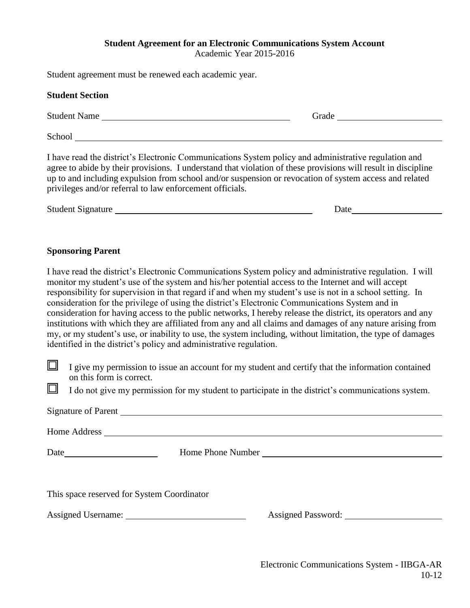#### **Student Agreement for an Electronic Communications System Account** Academic Year 2015-2016

Student agreement must be renewed each academic year.

|                  | Suddent agreement must be renewed each academic year.                                                                                                                                                                                                                                                                                                                                                                                                                                                                                                                                                                                                                                                                                  |                                                                                                                                                                                                                               |
|------------------|----------------------------------------------------------------------------------------------------------------------------------------------------------------------------------------------------------------------------------------------------------------------------------------------------------------------------------------------------------------------------------------------------------------------------------------------------------------------------------------------------------------------------------------------------------------------------------------------------------------------------------------------------------------------------------------------------------------------------------------|-------------------------------------------------------------------------------------------------------------------------------------------------------------------------------------------------------------------------------|
|                  | <b>Student Section</b>                                                                                                                                                                                                                                                                                                                                                                                                                                                                                                                                                                                                                                                                                                                 |                                                                                                                                                                                                                               |
|                  | Student Name                                                                                                                                                                                                                                                                                                                                                                                                                                                                                                                                                                                                                                                                                                                           |                                                                                                                                                                                                                               |
|                  |                                                                                                                                                                                                                                                                                                                                                                                                                                                                                                                                                                                                                                                                                                                                        |                                                                                                                                                                                                                               |
|                  | I have read the district's Electronic Communications System policy and administrative regulation and<br>agree to abide by their provisions. I understand that violation of these provisions will result in discipline<br>up to and including expulsion from school and/or suspension or revocation of system access and related<br>privileges and/or referral to law enforcement officials.                                                                                                                                                                                                                                                                                                                                            |                                                                                                                                                                                                                               |
|                  |                                                                                                                                                                                                                                                                                                                                                                                                                                                                                                                                                                                                                                                                                                                                        | Date and the same state of the state of the state of the state of the state of the state of the state of the state of the state of the state of the state of the state of the state of the state of the state of the state of |
|                  | <b>Sponsoring Parent</b><br>I have read the district's Electronic Communications System policy and administrative regulation. I will                                                                                                                                                                                                                                                                                                                                                                                                                                                                                                                                                                                                   |                                                                                                                                                                                                                               |
|                  | monitor my student's use of the system and his/her potential access to the Internet and will accept<br>responsibility for supervision in that regard if and when my student's use is not in a school setting. In<br>consideration for the privilege of using the district's Electronic Communications System and in<br>consideration for having access to the public networks, I hereby release the district, its operators and any<br>institutions with which they are affiliated from any and all claims and damages of any nature arising from<br>my, or my student's use, or inability to use, the system including, without limitation, the type of damages<br>identified in the district's policy and administrative regulation. |                                                                                                                                                                                                                               |
| $\Box$<br>$\Box$ | I give my permission to issue an account for my student and certify that the information contained<br>on this form is correct.<br>I do not give my permission for my student to participate in the district's communications system.                                                                                                                                                                                                                                                                                                                                                                                                                                                                                                   |                                                                                                                                                                                                                               |
|                  | Signature of Parent                                                                                                                                                                                                                                                                                                                                                                                                                                                                                                                                                                                                                                                                                                                    |                                                                                                                                                                                                                               |
|                  | Home Address                                                                                                                                                                                                                                                                                                                                                                                                                                                                                                                                                                                                                                                                                                                           |                                                                                                                                                                                                                               |

Date Home Phone Number

This space reserved for System Coordinator

Assigned Username: <u>Communications and Assigned Password:</u> Communications and Assigned Password: Communications and Assigned Password: Communications and Assigned Password: Communications and Assigned Password: Communicati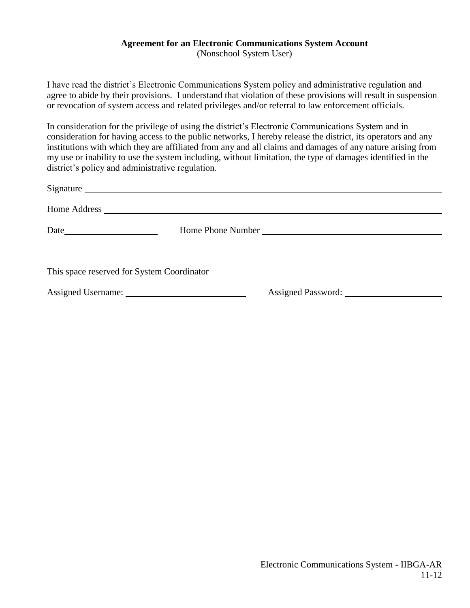# **Agreement for an Electronic Communications System Account**

(Nonschool System User)

I have read the district's Electronic Communications System policy and administrative regulation and agree to abide by their provisions. I understand that violation of these provisions will result in suspension or revocation of system access and related privileges and/or referral to law enforcement officials.

In consideration for the privilege of using the district's Electronic Communications System and in consideration for having access to the public networks, I hereby release the district, its operators and any institutions with which they are affiliated from any and all claims and damages of any nature arising from my use or inability to use the system including, without limitation, the type of damages identified in the district's policy and administrative regulation.

|                                            | Signature                                                                                                                                                                                                                           |                    |  |
|--------------------------------------------|-------------------------------------------------------------------------------------------------------------------------------------------------------------------------------------------------------------------------------------|--------------------|--|
|                                            | Home Address <u>and the second of the second second</u> contract the second second second second second second second second second second second second second second second second second second second second second second seco |                    |  |
|                                            |                                                                                                                                                                                                                                     |                    |  |
|                                            |                                                                                                                                                                                                                                     |                    |  |
| This space reserved for System Coordinator |                                                                                                                                                                                                                                     |                    |  |
|                                            |                                                                                                                                                                                                                                     | Assigned Password: |  |
|                                            |                                                                                                                                                                                                                                     |                    |  |